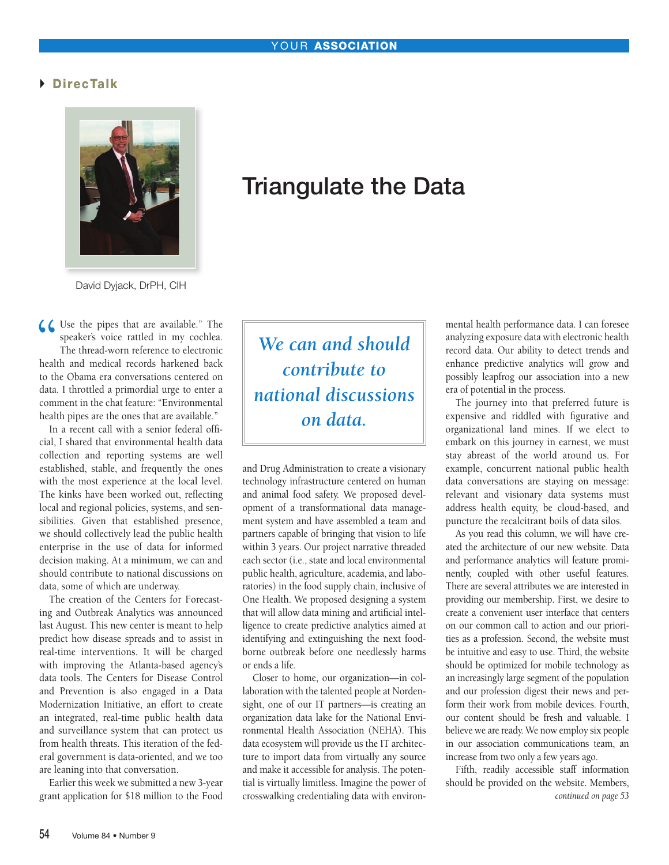## DirecTalk



David Dyjack, DrPH, CIH

**66** Use the pipes that are available." The speaker's voice rattled in my cochlea.<br>The thread-worn reference to electronic<br>health and medical records harkened back speaker's voice rattled in my cochlea. The thread-worn reference to electronic health and medical records harkened back to the Obama era conversations centered on data. I throttled a primordial urge to enter a comment in the chat feature: "Environmental health pipes are the ones that are available."

In a recent call with a senior federal official, I shared that environmental health data collection and reporting systems are well established, stable, and frequently the ones with the most experience at the local level. The kinks have been worked out, reflecting local and regional policies, systems, and sensibilities. Given that established presence, we should collectively lead the public health enterprise in the use of data for informed decision making. At a minimum, we can and should contribute to national discussions on data, some of which are underway.

The creation of the Centers for Forecasting and Outbreak Analytics was announced last August. This new center is meant to help predict how disease spreads and to assist in real-time interventions. It will be charged with improving the Atlanta-based agency's data tools. The Centers for Disease Control and Prevention is also engaged in a Data Modernization Initiative, an effort to create an integrated, real-time public health data and surveillance system that can protect us from health threats. This iteration of the federal government is data-oriented, and we too are leaning into that conversation.

Earlier this week we submitted a new 3-year grant application for \$18 million to the Food

## Triangulate the Data

*We can and should contribute to national discussions on data.*

and Drug Administration to create a visionary technology infrastructure centered on human and animal food safety. We proposed development of a transformational data management system and have assembled a team and partners capable of bringing that vision to life within 3 years. Our project narrative threaded each sector (i.e., state and local environmental public health, agriculture, academia, and laboratories) in the food supply chain, inclusive of One Health. We proposed designing a system that will allow data mining and artificial intelligence to create predictive analytics aimed at identifying and extinguishing the next foodborne outbreak before one needlessly harms or ends a life.

Closer to home, our organization—in collaboration with the talented people at Nordensight, one of our IT partners—is creating an organization data lake for the National Environmental Health Association (NEHA). This data ecosystem will provide us the IT architecture to import data from virtually any source and make it accessible for analysis. The potential is virtually limitless. Imagine the power of crosswalking credentialing data with environmental health performance data. I can foresee analyzing exposure data with electronic health record data. Our ability to detect trends and enhance predictive analytics will grow and possibly leapfrog our association into a new era of potential in the process.

The journey into that preferred future is expensive and riddled with figurative and organizational land mines. If we elect to embark on this journey in earnest, we must stay abreast of the world around us. For example, concurrent national public health data conversations are staying on message: relevant and visionary data systems must address health equity, be cloud-based, and puncture the recalcitrant boils of data silos.

As you read this column, we will have created the architecture of our new website. Data and performance analytics will feature prominently, coupled with other useful features. There are several attributes we are interested in providing our membership. First, we desire to create a convenient user interface that centers on our common call to action and our priorities as a profession. Second, the website must be intuitive and easy to use. Third, the website should be optimized for mobile technology as an increasingly large segment of the population and our profession digest their news and perform their work from mobile devices. Fourth, our content should be fresh and valuable. I believe we are ready. We now employ six people in our association communications team, an increase from two only a few years ago.

Fifth, readily accessible staff information should be provided on the website. Members, *continued on page 53*